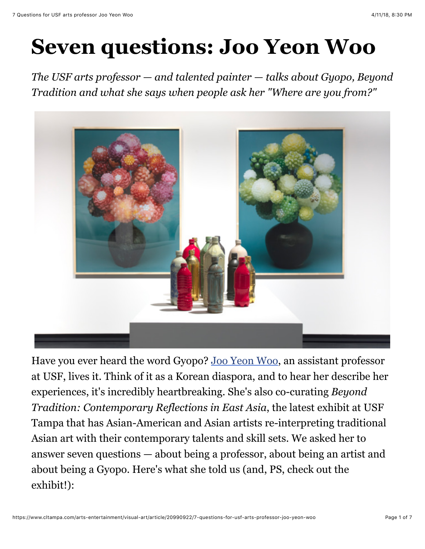# **Seven questions: Joo Yeon Woo**

*The USF arts professor — and talented painter — talks about Gyopo, Beyond Tradition and what she says when people ask her "Where are you from?"*



Have you ever heard the word Gyopo? [Joo Yeon Woo,](http://art.arts.usf.edu/content/templates/?a=4720&z=171) an assistant professor at USF, lives it. Think of it as a Korean diaspora, and to hear her describe her experiences, it's incredibly heartbreaking. She's also co-curating *Beyond Tradition: Contemporary Reflections in East Asia*, the latest exhibit at USF Tampa that has Asian-American and Asian artists re-interpreting traditional Asian art with their contemporary talents and skill sets. We asked her to answer seven questions — about being a professor, about being an artist and about being a Gyopo. Here's what she told us (and, PS, check out the exhibit!):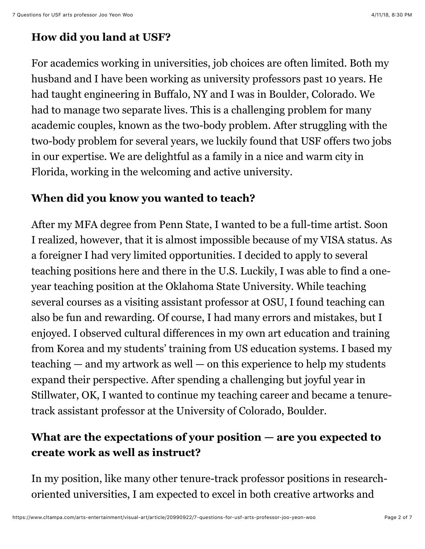## **How did you land at USF?**

For academics working in universities, job choices are often limited. Both my husband and I have been working as university professors past 10 years. He had taught engineering in Buffalo, NY and I was in Boulder, Colorado. We had to manage two separate lives. This is a challenging problem for many academic couples, known as the two-body problem. After struggling with the two-body problem for several years, we luckily found that USF offers two jobs in our expertise. We are delightful as a family in a nice and warm city in Florida, working in the welcoming and active university.

#### **When did you know you wanted to teach?**

After my MFA degree from Penn State, I wanted to be a full-time artist. Soon I realized, however, that it is almost impossible because of my VISA status. As a foreigner I had very limited opportunities. I decided to apply to several teaching positions here and there in the U.S. Luckily, I was able to find a oneyear teaching position at the Oklahoma State University. While teaching several courses as a visiting assistant professor at OSU, I found teaching can also be fun and rewarding. Of course, I had many errors and mistakes, but I enjoyed. I observed cultural differences in my own art education and training from Korea and my students' training from US education systems. I based my teaching — and my artwork as well — on this experience to help my students expand their perspective. After spending a challenging but joyful year in Stillwater, OK, I wanted to continue my teaching career and became a tenuretrack assistant professor at the University of Colorado, Boulder.

## **What are the expectations of your position — are you expected to create work as well as instruct?**

In my position, like many other tenure-track professor positions in researchoriented universities, I am expected to excel in both creative artworks and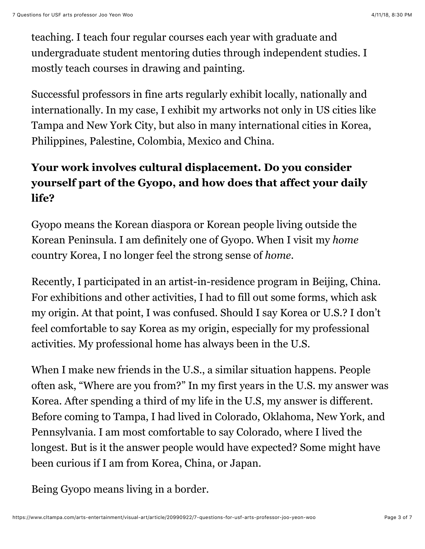teaching. I teach four regular courses each year with graduate and undergraduate student mentoring duties through independent studies. I mostly teach courses in drawing and painting.

Successful professors in fine arts regularly exhibit locally, nationally and internationally. In my case, I exhibit my artworks not only in US cities like Tampa and New York City, but also in many international cities in Korea, Philippines, Palestine, Colombia, Mexico and China.

# **Your work involves cultural displacement. Do you consider yourself part of the Gyopo, and how does that affect your daily life?**

Gyopo means the Korean diaspora or Korean people living outside the Korean Peninsula. I am definitely one of Gyopo. When I visit my *home* country Korea, I no longer feel the strong sense of *home*.

Recently, I participated in an artist-in-residence program in Beijing, China. For exhibitions and other activities, I had to fill out some forms, which ask my origin. At that point, I was confused. Should I say Korea or U.S.? I don't feel comfortable to say Korea as my origin, especially for my professional activities. My professional home has always been in the U.S.

When I make new friends in the U.S., a similar situation happens. People often ask, "Where are you from?" In my first years in the U.S. my answer was Korea. After spending a third of my life in the U.S, my answer is different. Before coming to Tampa, I had lived in Colorado, Oklahoma, New York, and Pennsylvania. I am most comfortable to say Colorado, where I lived the longest. But is it the answer people would have expected? Some might have been curious if I am from Korea, China, or Japan.

Being Gyopo means living in a border.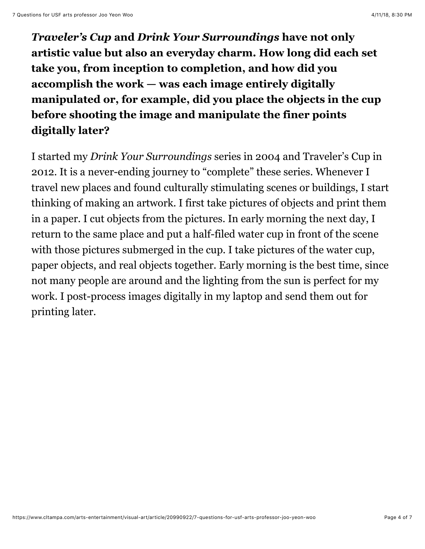*Traveler's Cup* **and** *Drink Your Surroundings* **have not only artistic value but also an everyday charm. How long did each set take you, from inception to completion, and how did you accomplish the work — was each image entirely digitally manipulated or, for example, did you place the objects in the cup before shooting the image and manipulate the finer points digitally later?**

I started my *Drink Your Surroundings* series in 2004 and Traveler's Cup in 2012. It is a never-ending journey to "complete" these series. Whenever I travel new places and found culturally stimulating scenes or buildings, I start thinking of making an artwork. I first take pictures of objects and print them in a paper. I cut objects from the pictures. In early morning the next day, I return to the same place and put a half-filed water cup in front of the scene with those pictures submerged in the cup. I take pictures of the water cup, paper objects, and real objects together. Early morning is the best time, since not many people are around and the lighting from the sun is perfect for my work. I post-process images digitally in my laptop and send them out for printing later.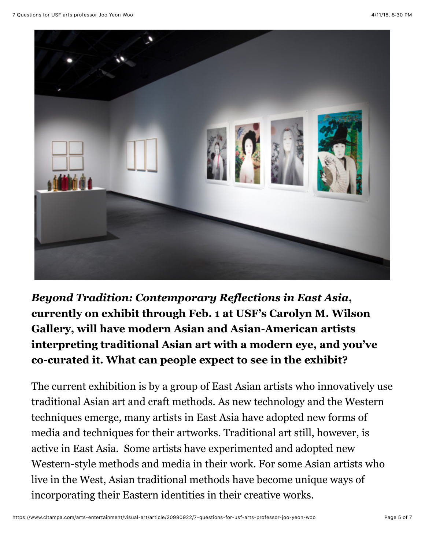

*Beyond Tradition: Contemporary Reflections in East Asia***, currently on exhibit through Feb. 1 at USF's Carolyn M. Wilson Gallery, will have modern Asian and Asian-American artists interpreting traditional Asian art with a modern eye, and you've co-curated it. What can people expect to see in the exhibit?**

The current exhibition is by a group of East Asian artists who innovatively use traditional Asian art and craft methods. As new technology and the Western techniques emerge, many artists in East Asia have adopted new forms of media and techniques for their artworks. Traditional art still, however, is active in East Asia. Some artists have experimented and adopted new Western-style methods and media in their work. For some Asian artists who live in the West, Asian traditional methods have become unique ways of incorporating their Eastern identities in their creative works.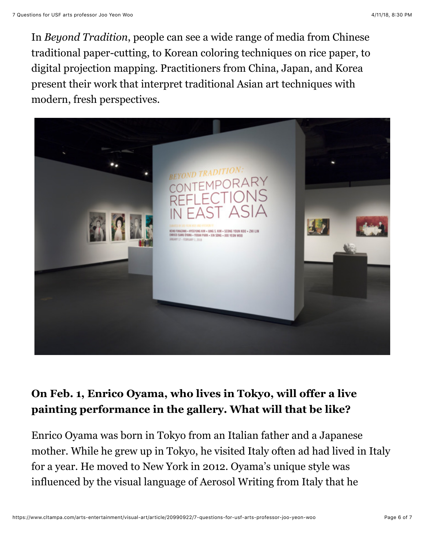In *Beyond Tradition*, people can see a wide range of media from Chinese traditional paper-cutting, to Korean coloring techniques on rice paper, to digital projection mapping. Practitioners from China, Japan, and Korea present their work that interpret traditional Asian art techniques with modern, fresh perspectives.



### **On Feb. 1, Enrico Oyama, who lives in Tokyo, will offer a live painting performance in the gallery. What will that be like?**

Enrico Oyama was born in Tokyo from an Italian father and a Japanese mother. While he grew up in Tokyo, he visited Italy often ad had lived in Italy for a year. He moved to New York in 2012. Oyama's unique style was influenced by the visual language of Aerosol Writing from Italy that he